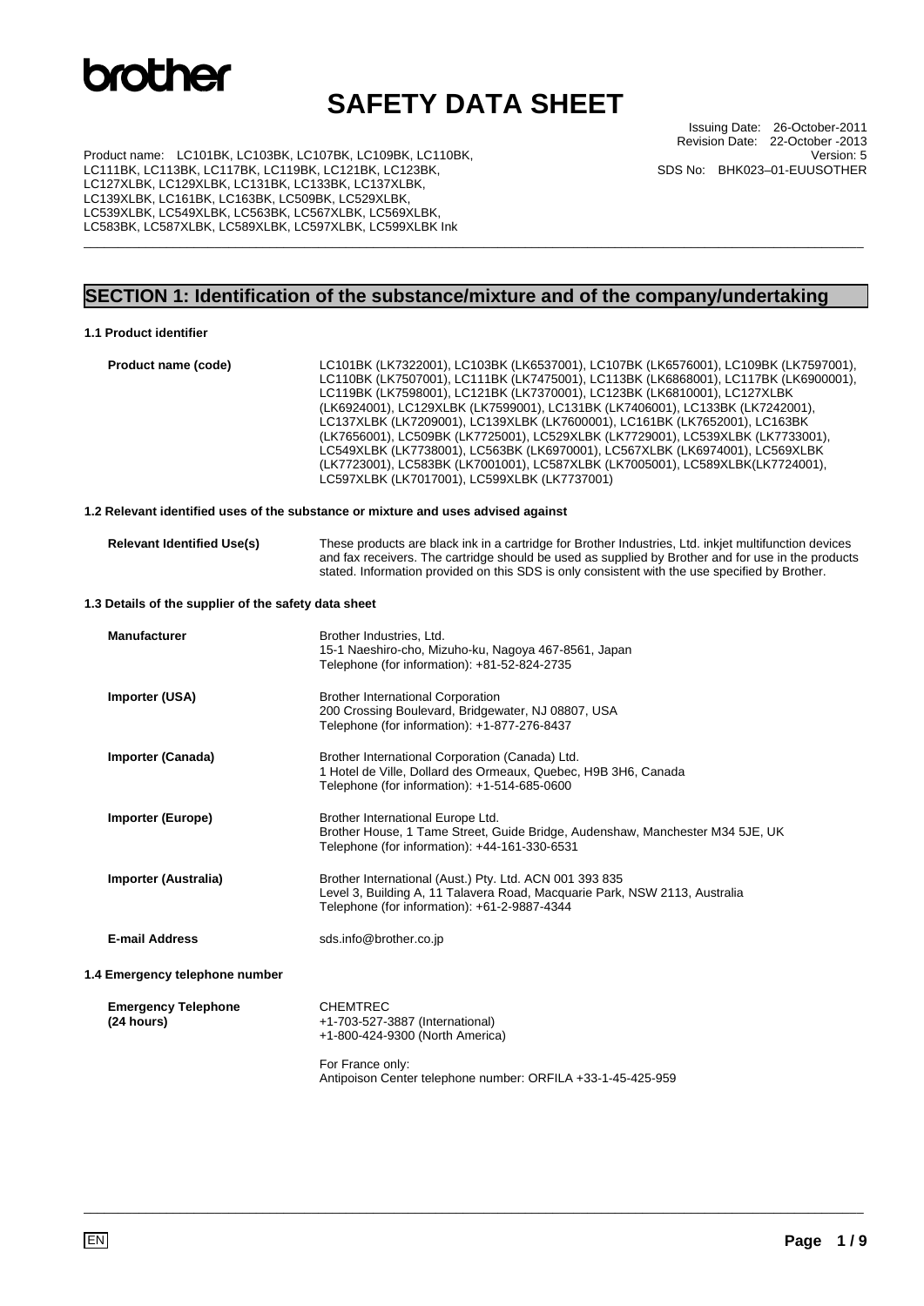### **SAFETY DATA SHEET**

Issuing Date: 26-October-2011 Revision Date: 22-October -2013 Version: 5 SDS No: BHK023–01-EUUSOTHER

Product name: LC101BK, LC103BK, LC107BK, LC109BK, LC110BK, LC111BK, LC113BK, LC117BK, LC119BK, LC121BK, LC123BK, LC127XLBK, LC129XLBK, LC131BK, LC133BK, LC137XLBK, LC139XLBK, LC161BK, LC163BK, LC509BK, LC529XLBK, LC539XLBK, LC549XLBK, LC563BK, LC567XLBK, LC569XLBK, LC583BK, LC587XLBK, LC589XLBK, LC597XLBK, LC599XLBK Ink

### **SECTION 1: Identification of the substance/mixture and of the company/undertaking**

\_\_\_\_\_\_\_\_\_\_\_\_\_\_\_\_\_\_\_\_\_\_\_\_\_\_\_\_\_\_\_\_\_\_\_\_\_\_\_\_\_\_\_\_\_\_\_\_\_\_\_\_\_\_\_\_\_\_\_\_\_\_\_\_\_\_\_\_\_\_\_\_\_\_\_\_\_\_\_\_\_\_\_\_\_\_\_\_\_\_\_\_\_\_\_\_\_\_\_\_\_\_\_\_\_\_\_\_\_\_\_\_\_

### **1.1 Product identifier**

| Product name (code)                                  | LC101BK (LK7322001), LC103BK (LK6537001), LC107BK (LK6576001), LC109BK (LK7597001),<br>LC110BK (LK7507001), LC111BK (LK7475001), LC113BK (LK6868001), LC117BK (LK6900001),<br>LC119BK (LK7598001), LC121BK (LK7370001), LC123BK (LK6810001), LC127XLBK<br>(LK6924001), LC129XLBK (LK7599001), LC131BK (LK7406001), LC133BK (LK7242001),<br>LC137XLBK (LK7209001), LC139XLBK (LK7600001), LC161BK (LK7652001), LC163BK<br>(LK7656001), LC509BK (LK7725001), LC529XLBK (LK7729001), LC539XLBK (LK7733001),<br>LC549XLBK (LK7738001), LC563BK (LK6970001), LC567XLBK (LK6974001), LC569XLBK<br>(LK7723001), LC583BK (LK7001001), LC587XLBK (LK7005001), LC589XLBK(LK7724001),<br>LC597XLBK (LK7017001), LC599XLBK (LK7737001) |
|------------------------------------------------------|----------------------------------------------------------------------------------------------------------------------------------------------------------------------------------------------------------------------------------------------------------------------------------------------------------------------------------------------------------------------------------------------------------------------------------------------------------------------------------------------------------------------------------------------------------------------------------------------------------------------------------------------------------------------------------------------------------------------------|
|                                                      | 1.2 Relevant identified uses of the substance or mixture and uses advised against                                                                                                                                                                                                                                                                                                                                                                                                                                                                                                                                                                                                                                          |
| <b>Relevant Identified Use(s)</b>                    | These products are black ink in a cartridge for Brother Industries, Ltd. inkjet multifunction devices<br>and fax receivers. The cartridge should be used as supplied by Brother and for use in the products<br>stated. Information provided on this SDS is only consistent with the use specified by Brother.                                                                                                                                                                                                                                                                                                                                                                                                              |
| 1.3 Details of the supplier of the safety data sheet |                                                                                                                                                                                                                                                                                                                                                                                                                                                                                                                                                                                                                                                                                                                            |
| <b>Manufacturer</b>                                  | Brother Industries, Ltd.<br>15-1 Naeshiro-cho, Mizuho-ku, Nagoya 467-8561, Japan<br>Telephone (for information): +81-52-824-2735                                                                                                                                                                                                                                                                                                                                                                                                                                                                                                                                                                                           |
| Importer (USA)                                       | <b>Brother International Corporation</b><br>200 Crossing Boulevard, Bridgewater, NJ 08807, USA<br>Telephone (for information): +1-877-276-8437                                                                                                                                                                                                                                                                                                                                                                                                                                                                                                                                                                             |
| Importer (Canada)                                    | Brother International Corporation (Canada) Ltd.<br>1 Hotel de Ville, Dollard des Ormeaux, Quebec, H9B 3H6, Canada<br>Telephone (for information): +1-514-685-0600                                                                                                                                                                                                                                                                                                                                                                                                                                                                                                                                                          |
| Importer (Europe)                                    | Brother International Europe Ltd.<br>Brother House, 1 Tame Street, Guide Bridge, Audenshaw, Manchester M34 5JE, UK<br>Telephone (for information): +44-161-330-6531                                                                                                                                                                                                                                                                                                                                                                                                                                                                                                                                                        |
| Importer (Australia)                                 | Brother International (Aust.) Pty. Ltd. ACN 001 393 835<br>Level 3, Building A, 11 Talavera Road, Macquarie Park, NSW 2113, Australia<br>Telephone (for information): +61-2-9887-4344                                                                                                                                                                                                                                                                                                                                                                                                                                                                                                                                      |
| <b>E-mail Address</b>                                | sds.info@brother.co.jp                                                                                                                                                                                                                                                                                                                                                                                                                                                                                                                                                                                                                                                                                                     |
| 1.4 Emergency telephone number                       |                                                                                                                                                                                                                                                                                                                                                                                                                                                                                                                                                                                                                                                                                                                            |
| <b>Emergency Telephone</b><br>(24 hours)             | <b>CHEMTREC</b><br>+1-703-527-3887 (International)<br>+1-800-424-9300 (North America)                                                                                                                                                                                                                                                                                                                                                                                                                                                                                                                                                                                                                                      |
|                                                      | For France only:<br>Antipoison Center telephone number: ORFILA +33-1-45-425-959                                                                                                                                                                                                                                                                                                                                                                                                                                                                                                                                                                                                                                            |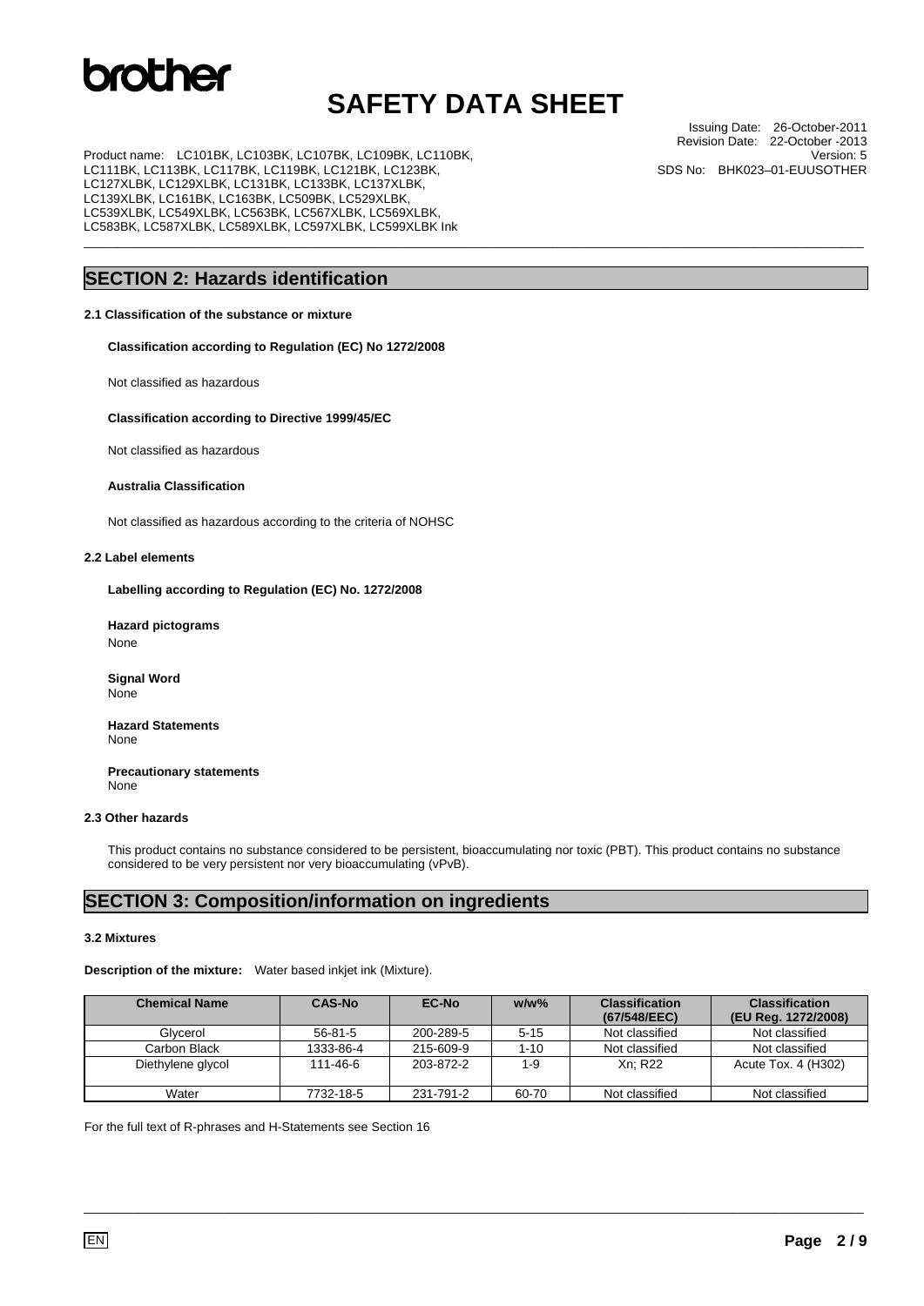## **SAFETY DATA SHEET**

\_\_\_\_\_\_\_\_\_\_\_\_\_\_\_\_\_\_\_\_\_\_\_\_\_\_\_\_\_\_\_\_\_\_\_\_\_\_\_\_\_\_\_\_\_\_\_\_\_\_\_\_\_\_\_\_\_\_\_\_\_\_\_\_\_\_\_\_\_\_\_\_\_\_\_\_\_\_\_\_\_\_\_\_\_\_\_\_\_\_\_\_\_\_\_\_\_\_\_\_\_\_\_\_\_\_\_\_\_\_\_\_\_

Product name: LC101BK, LC103BK, LC107BK, LC109BK, LC110BK, LC111BK, LC113BK, LC117BK, LC119BK, LC121BK, LC123BK, LC127XLBK, LC129XLBK, LC131BK, LC133BK, LC137XLBK, LC139XLBK, LC161BK, LC163BK, LC509BK, LC529XLBK, LC539XLBK, LC549XLBK, LC563BK, LC567XLBK, LC569XLBK, LC583BK, LC587XLBK, LC589XLBK, LC597XLBK, LC599XLBK Ink

### **SECTION 2: Hazards identification**

### **2.1 Classification of the substance or mixture**

**Classification according to Regulation (EC) No 1272/2008** 

Not classified as hazardous

### **Classification according to Directive 1999/45/EC**

Not classified as hazardous

### **Australia Classification**

Not classified as hazardous according to the criteria of NOHSC

### **2.2 Label elements**

**Labelling according to Regulation (EC) No. 1272/2008** 

**Hazard pictograms**  None

 **Signal Word**  None

**Hazard Statements**  None

 **Precautionary statements**  None

#### **2.3 Other hazards**

This product contains no substance considered to be persistent, bioaccumulating nor toxic (PBT). This product contains no substance considered to be very persistent nor very bioaccumulating (vPvB).

### **SECTION 3: Composition/information on ingredients**

#### **3.2 Mixtures**

**Description of the mixture:** Water based inkjet ink (Mixture).

| <b>Chemical Name</b> | <b>CAS-No</b> | EC-No     | $w/w$ %  | <b>Classification</b><br>(67/548/EEC) | <b>Classification</b><br>(EU Reg. 1272/2008) |
|----------------------|---------------|-----------|----------|---------------------------------------|----------------------------------------------|
| Glycerol             | $56-81-5$     | 200-289-5 | $5 - 15$ | Not classified                        | Not classified                               |
| Carbon Black         | 1333-86-4     | 215-609-9 | $1 - 10$ | Not classified                        | Not classified                               |
| Diethylene glycol    | 111-46-6      | 203-872-2 | $1 - 9$  | Xn: R22                               | Acute Tox. 4 (H302)                          |
| Water                | 7732-18-5     | 231-791-2 | 60-70    | Not classified                        | Not classified                               |

\_\_\_\_\_\_\_\_\_\_\_\_\_\_\_\_\_\_\_\_\_\_\_\_\_\_\_\_\_\_\_\_\_\_\_\_\_\_\_\_\_\_\_\_\_\_\_\_\_\_\_\_\_\_\_\_\_\_\_\_\_\_\_\_\_\_\_\_\_\_\_\_\_\_\_\_\_\_\_\_\_\_\_\_\_\_\_\_\_\_\_\_\_\_\_\_\_\_\_\_\_\_\_\_\_\_\_\_\_\_\_\_\_

For the full text of R-phrases and H-Statements see Section 16

Issuing Date: 26-October-2011 Revision Date: 22-October -2013 Version: 5 SDS No: BHK023–01-EUUSOTHER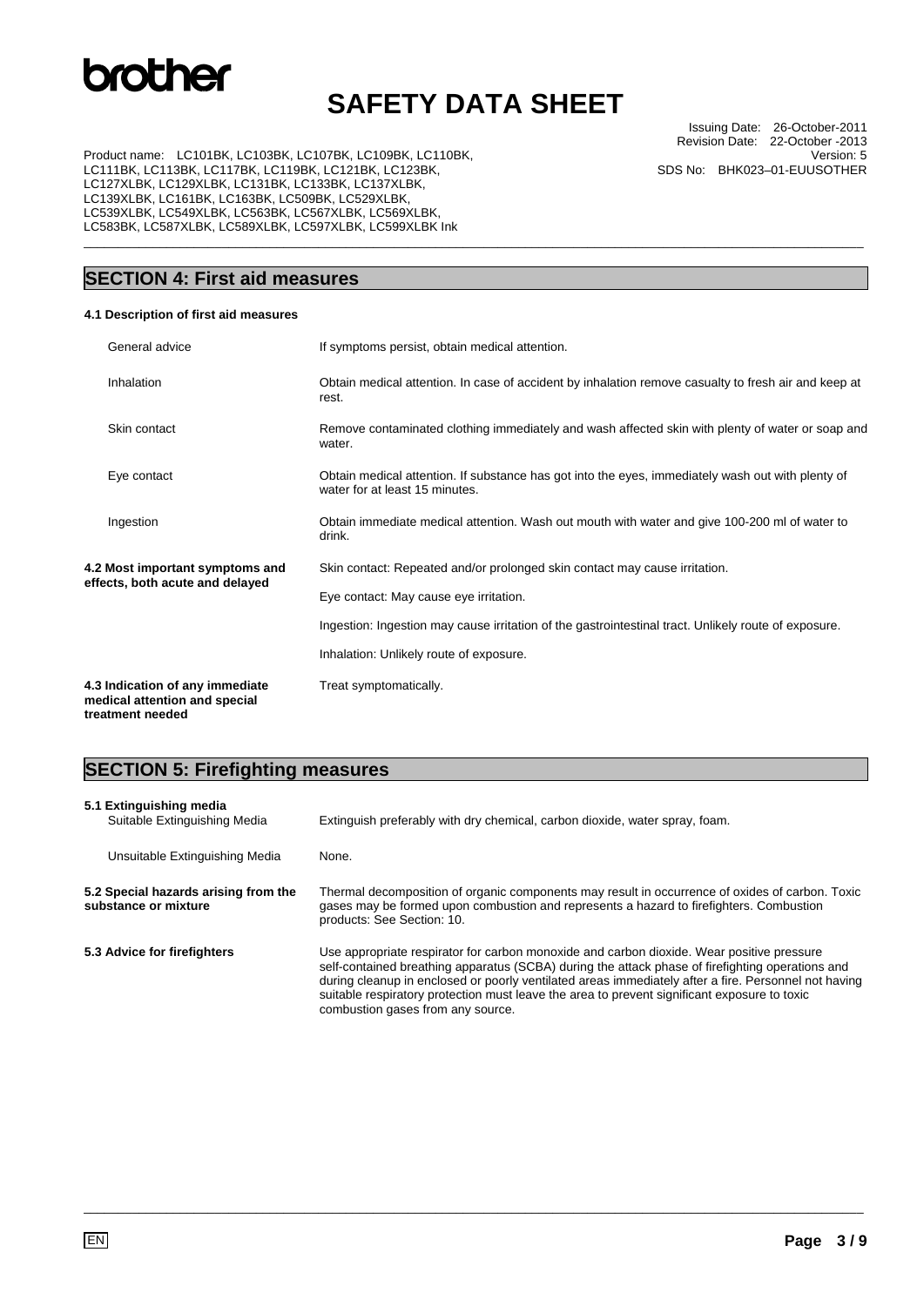## **SAFETY DATA SHEET**

\_\_\_\_\_\_\_\_\_\_\_\_\_\_\_\_\_\_\_\_\_\_\_\_\_\_\_\_\_\_\_\_\_\_\_\_\_\_\_\_\_\_\_\_\_\_\_\_\_\_\_\_\_\_\_\_\_\_\_\_\_\_\_\_\_\_\_\_\_\_\_\_\_\_\_\_\_\_\_\_\_\_\_\_\_\_\_\_\_\_\_\_\_\_\_\_\_\_\_\_\_\_\_\_\_\_\_\_\_\_\_\_\_

Issuing Date: 26-October-2011 Revision Date: 22-October -2013 Version: 5 SDS No: BHK023–01-EUUSOTHER

Product name: LC101BK, LC103BK, LC107BK, LC109BK, LC110BK, LC111BK, LC113BK, LC117BK, LC119BK, LC121BK, LC123BK, LC127XLBK, LC129XLBK, LC131BK, LC133BK, LC137XLBK, LC139XLBK, LC161BK, LC163BK, LC509BK, LC529XLBK, LC539XLBK, LC549XLBK, LC563BK, LC567XLBK, LC569XLBK, LC583BK, LC587XLBK, LC589XLBK, LC597XLBK, LC599XLBK Ink

### **SECTION 4: First aid measures**

#### **4.1 Description of first aid measures**

|                                                                    | General advice                                                                       | If symptoms persist, obtain medical attention.                                                                                      |
|--------------------------------------------------------------------|--------------------------------------------------------------------------------------|-------------------------------------------------------------------------------------------------------------------------------------|
|                                                                    | Inhalation                                                                           | Obtain medical attention. In case of accident by inhalation remove casualty to fresh air and keep at<br>rest.                       |
|                                                                    | Skin contact                                                                         | Remove contaminated clothing immediately and wash affected skin with plenty of water or soap and<br>water.                          |
|                                                                    | Eye contact                                                                          | Obtain medical attention. If substance has got into the eyes, immediately wash out with plenty of<br>water for at least 15 minutes. |
|                                                                    | Ingestion                                                                            | Obtain immediate medical attention. Wash out mouth with water and give 100-200 ml of water to<br>drink.                             |
| 4.2 Most important symptoms and<br>effects, both acute and delayed |                                                                                      | Skin contact: Repeated and/or prolonged skin contact may cause irritation.                                                          |
|                                                                    |                                                                                      | Eye contact: May cause eye irritation.                                                                                              |
|                                                                    |                                                                                      | Ingestion: Ingestion may cause irritation of the gastrointestinal tract. Unlikely route of exposure.                                |
|                                                                    |                                                                                      | Inhalation: Unlikely route of exposure.                                                                                             |
|                                                                    | 4.3 Indication of any immediate<br>medical attention and special<br>treatment needed | Treat symptomatically.                                                                                                              |

### **SECTION 5: Firefighting measures**

| 5.1 Extinguishing media<br>Suitable Extinguishing Media      | Extinguish preferably with dry chemical, carbon dioxide, water spray, foam.                                                                                                                                                                                                                                                                                                                                                                |  |
|--------------------------------------------------------------|--------------------------------------------------------------------------------------------------------------------------------------------------------------------------------------------------------------------------------------------------------------------------------------------------------------------------------------------------------------------------------------------------------------------------------------------|--|
| Unsuitable Extinguishing Media                               | None.                                                                                                                                                                                                                                                                                                                                                                                                                                      |  |
| 5.2 Special hazards arising from the<br>substance or mixture | Thermal decomposition of organic components may result in occurrence of oxides of carbon. Toxic<br>gases may be formed upon combustion and represents a hazard to firefighters. Combustion<br>products: See Section: 10.                                                                                                                                                                                                                   |  |
| 5.3 Advice for firefighters                                  | Use appropriate respirator for carbon monoxide and carbon dioxide. Wear positive pressure<br>self-contained breathing apparatus (SCBA) during the attack phase of firefighting operations and<br>during cleanup in enclosed or poorly ventilated areas immediately after a fire. Personnel not having<br>suitable respiratory protection must leave the area to prevent significant exposure to toxic<br>combustion gases from any source. |  |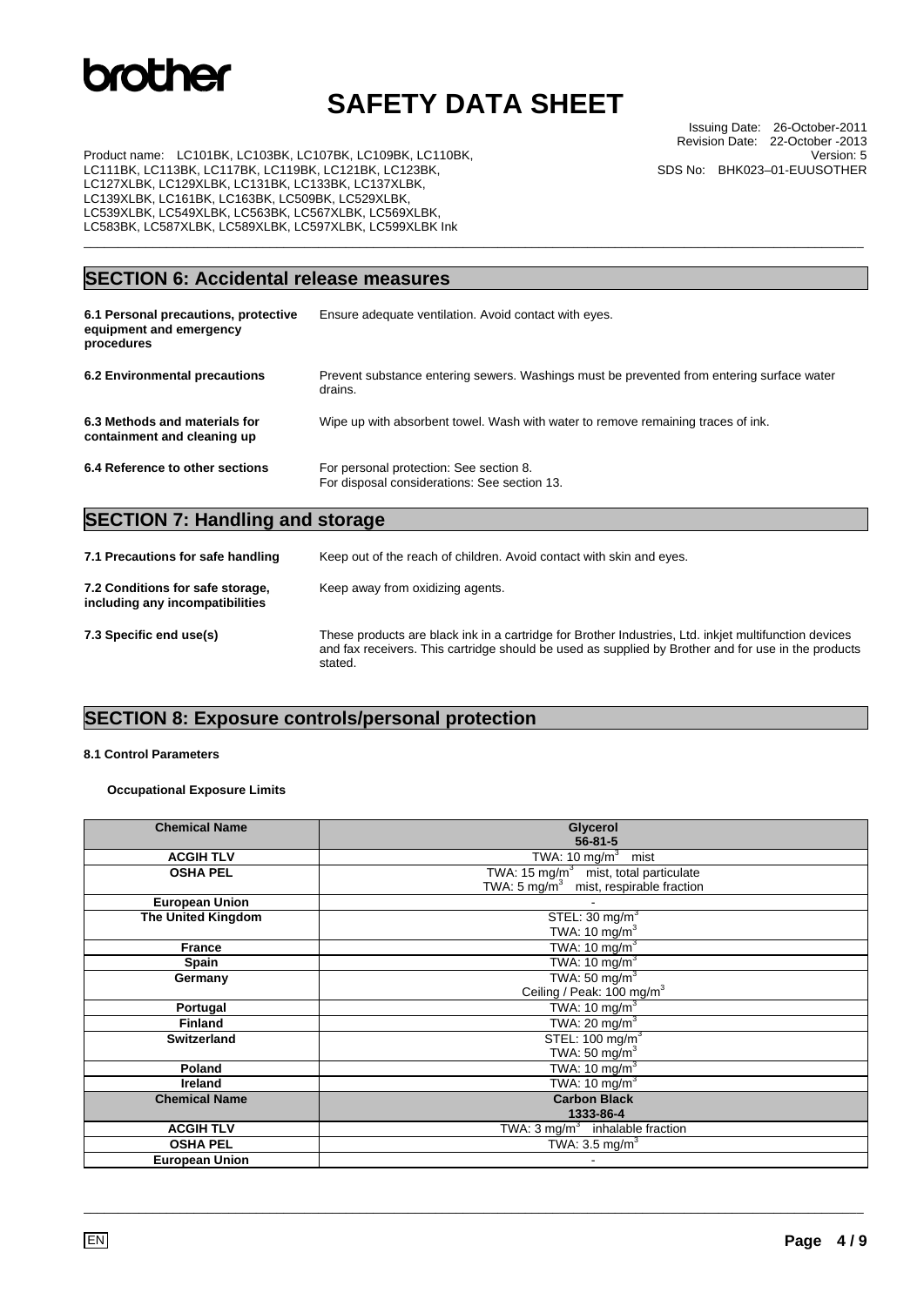## **SAFETY DATA SHEET**

\_\_\_\_\_\_\_\_\_\_\_\_\_\_\_\_\_\_\_\_\_\_\_\_\_\_\_\_\_\_\_\_\_\_\_\_\_\_\_\_\_\_\_\_\_\_\_\_\_\_\_\_\_\_\_\_\_\_\_\_\_\_\_\_\_\_\_\_\_\_\_\_\_\_\_\_\_\_\_\_\_\_\_\_\_\_\_\_\_\_\_\_\_\_\_\_\_\_\_\_\_\_\_\_\_\_\_\_\_\_\_\_\_

Issuing Date: 26-October-2011 Revision Date: 22-October -2013 Version: 5 SDS No: BHK023–01-EUUSOTHER

Product name: LC101BK, LC103BK, LC107BK, LC109BK, LC110BK, LC111BK, LC113BK, LC117BK, LC119BK, LC121BK, LC123BK, LC127XLBK, LC129XLBK, LC131BK, LC133BK, LC137XLBK, LC139XLBK, LC161BK, LC163BK, LC509BK, LC529XLBK, LC539XLBK, LC549XLBK, LC563BK, LC567XLBK, LC569XLBK, LC583BK, LC587XLBK, LC589XLBK, LC597XLBK, LC599XLBK Ink

### **SECTION 6: Accidental release measures**

| 6.1 Personal precautions, protective<br>equipment and emergency<br>procedures | Ensure adequate ventilation. Avoid contact with eyes.                                                |
|-------------------------------------------------------------------------------|------------------------------------------------------------------------------------------------------|
| 6.2 Environmental precautions                                                 | Prevent substance entering sewers. Washings must be prevented from entering surface water<br>drains. |
| 6.3 Methods and materials for<br>containment and cleaning up                  | Wipe up with absorbent towel. Wash with water to remove remaining traces of ink.                     |
| 6.4 Reference to other sections                                               | For personal protection: See section 8.<br>For disposal considerations: See section 13.              |
| <b>SECTION 7: Handling and storage</b>                                        |                                                                                                      |
|                                                                               |                                                                                                      |

| 7.1 Precautions for safe handling                                   | Keep out of the reach of children. Avoid contact with skin and eyes.                                                                                                                                                    |  |
|---------------------------------------------------------------------|-------------------------------------------------------------------------------------------------------------------------------------------------------------------------------------------------------------------------|--|
| 7.2 Conditions for safe storage,<br>including any incompatibilities | Keep away from oxidizing agents.                                                                                                                                                                                        |  |
| 7.3 Specific end use(s)                                             | These products are black ink in a cartridge for Brother Industries, Ltd. inkjet multifunction devices<br>and fax receivers. This cartridge should be used as supplied by Brother and for use in the products<br>stated. |  |

### **SECTION 8: Exposure controls/personal protection**

### **8.1 Control Parameters**

### **Occupational Exposure Limits**

| <b>Chemical Name</b>      | Glycerol                                    |
|---------------------------|---------------------------------------------|
|                           | $56 - 81 - 5$                               |
| <b>ACGIH TLV</b>          | TWA: $10 \text{ mg/m}^3$ mist               |
| <b>OSHA PEL</b>           | TWA: 15 $mg/m3$ mist, total particulate     |
|                           | TWA: 5 $mg/m3$ mist, respirable fraction    |
| <b>European Union</b>     |                                             |
| <b>The United Kingdom</b> | STEL: $30 \text{ mg/m}^3$                   |
|                           | TWA: 10 $mg/m3$                             |
| <b>France</b>             | TWA: $10 \text{ mg/m}^3$                    |
| <b>Spain</b>              | TWA: 10 mg/m <sup>3</sup>                   |
| Germany                   | TWA: 50 mg/m <sup>3</sup>                   |
|                           | Ceiling / Peak: 100 mg/m <sup>3</sup>       |
| Portugal                  | TWA: $10 \text{ mg/m}^3$                    |
| <b>Finland</b>            | TWA: $20 \text{ mg/m}^3$                    |
| <b>Switzerland</b>        | STEL: 100 mg/m <sup>3</sup>                 |
|                           | TWA: 50 mg/ $m3$                            |
| Poland                    | TWA: 10 mg/m $3$                            |
| <b>Ireland</b>            | TWA: 10 mg/m <sup>3</sup>                   |
| <b>Chemical Name</b>      | <b>Carbon Black</b>                         |
|                           | 1333-86-4                                   |
| <b>ACGIH TLV</b>          | TWA: 3 mg/m <sup>3</sup> inhalable fraction |
| <b>OSHA PEL</b>           | TWA: $3.5 \text{ mg/m}^3$                   |
| <b>European Union</b>     |                                             |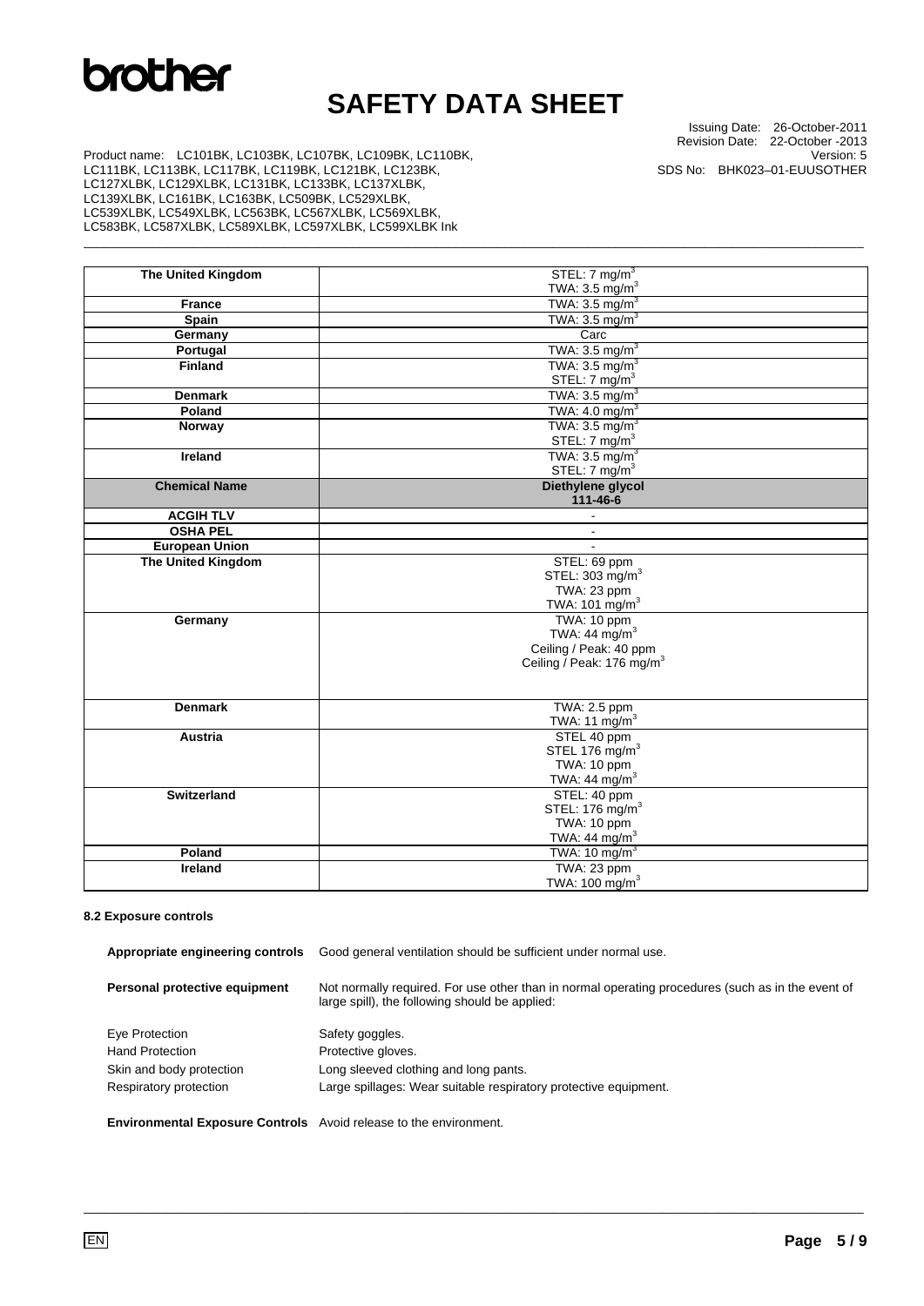## **SAFETY DATA SHEET**

\_\_\_\_\_\_\_\_\_\_\_\_\_\_\_\_\_\_\_\_\_\_\_\_\_\_\_\_\_\_\_\_\_\_\_\_\_\_\_\_\_\_\_\_\_\_\_\_\_\_\_\_\_\_\_\_\_\_\_\_\_\_\_\_\_\_\_\_\_\_\_\_\_\_\_\_\_\_\_\_\_\_\_\_\_\_\_\_\_\_\_\_\_\_\_\_\_\_\_\_\_\_\_\_\_\_\_\_\_\_\_\_\_

Issuing Date: 26-October-2011 Revision Date: 22-October -2013 Version: 5 SDS No: BHK023–01-EUUSOTHER

Product name: LC101BK, LC103BK, LC107BK, LC109BK, LC110BK, LC111BK, LC113BK, LC117BK, LC119BK, LC121BK, LC123BK, LC127XLBK, LC129XLBK, LC131BK, LC133BK, LC137XLBK, LC139XLBK, LC161BK, LC163BK, LC509BK, LC529XLBK, LC539XLBK, LC549XLBK, LC563BK, LC567XLBK, LC569XLBK, LC583BK, LC587XLBK, LC589XLBK, LC597XLBK, LC599XLBK Ink

| <b>The United Kingdom</b> | STEL: $7 \text{ mg/m}^3$              |
|---------------------------|---------------------------------------|
|                           | TWA: $3.5 \text{ mg/m}^3$             |
| <b>France</b>             | TWA: $3.5 \text{ mg/m}^3$             |
| <b>Spain</b>              | TWA: $3.5 \text{ mg/m}^3$             |
| Germany                   | Carc                                  |
| Portugal                  | TWA: $3.5 \text{ mg/m}^3$             |
| <b>Finland</b>            | TWA: $3.5 \text{ mg/m}^3$             |
|                           | STEL: 7 mg/m <sup>3</sup>             |
| <b>Denmark</b>            | TWA: $3.5 \text{ mg/m}^3$             |
| Poland                    | TWA: $4.0 \text{ mg/m}^3$             |
| Norway                    | TWA: $3.5 \text{ mg/m}^3$             |
|                           | STEL: 7 mg/m <sup>3</sup>             |
| <b>Ireland</b>            | TWA: $3.5 \text{ mg/m}^3$             |
|                           | STEL: 7 mg/m <sup>3</sup>             |
| <b>Chemical Name</b>      | Diethylene glycol                     |
|                           | 111-46-6                              |
| <b>ACGIH TLV</b>          |                                       |
| <b>OSHA PEL</b>           |                                       |
| <b>European Union</b>     | $\mathbf{r}$                          |
| <b>The United Kingdom</b> | STEL: 69 ppm                          |
|                           | STEL: 303 mg/m <sup>3</sup>           |
|                           | TWA: 23 ppm                           |
|                           | TWA: 101 mg/m <sup>3</sup>            |
| Germany                   | TWA: 10 ppm                           |
|                           | TWA: 44 $mg/m3$                       |
|                           | Ceiling / Peak: 40 ppm                |
|                           | Ceiling / Peak: 176 mg/m <sup>3</sup> |
|                           |                                       |
|                           |                                       |
| <b>Denmark</b>            | TWA: 2.5 ppm                          |
|                           | TWA: 11 $mg/m3$                       |
| <b>Austria</b>            | STEL 40 ppm                           |
|                           | STEL 176 mg/m <sup>3</sup>            |
|                           | TWA: 10 ppm                           |
|                           | TWA: 44 $mg/m3$                       |
| <b>Switzerland</b>        | STEL: 40 ppm                          |
|                           | STEL: 176 mg/m <sup>3</sup>           |
|                           | TWA: 10 ppm                           |
|                           | TWA: 44 $mg/m3$                       |
| Poland                    | TWA: 10 mg/m <sup>3</sup>             |
| Ireland                   | TWA: 23 ppm                           |
|                           | TWA: 100 mg/m <sup>3</sup>            |

#### **8.2 Exposure controls**

| Appropriate engineering controls                                         | Good general ventilation should be sufficient under normal use.                                                                                     |  |
|--------------------------------------------------------------------------|-----------------------------------------------------------------------------------------------------------------------------------------------------|--|
| Personal protective equipment                                            | Not normally required. For use other than in normal operating procedures (such as in the event of<br>large spill), the following should be applied: |  |
| Eye Protection                                                           | Safety goggles.                                                                                                                                     |  |
| <b>Hand Protection</b>                                                   | Protective gloves.                                                                                                                                  |  |
| Skin and body protection                                                 | Long sleeved clothing and long pants.                                                                                                               |  |
| Respiratory protection                                                   | Large spillages: Wear suitable respiratory protective equipment.                                                                                    |  |
| <b>Environmental Exposure Controls</b> Avoid release to the environment. |                                                                                                                                                     |  |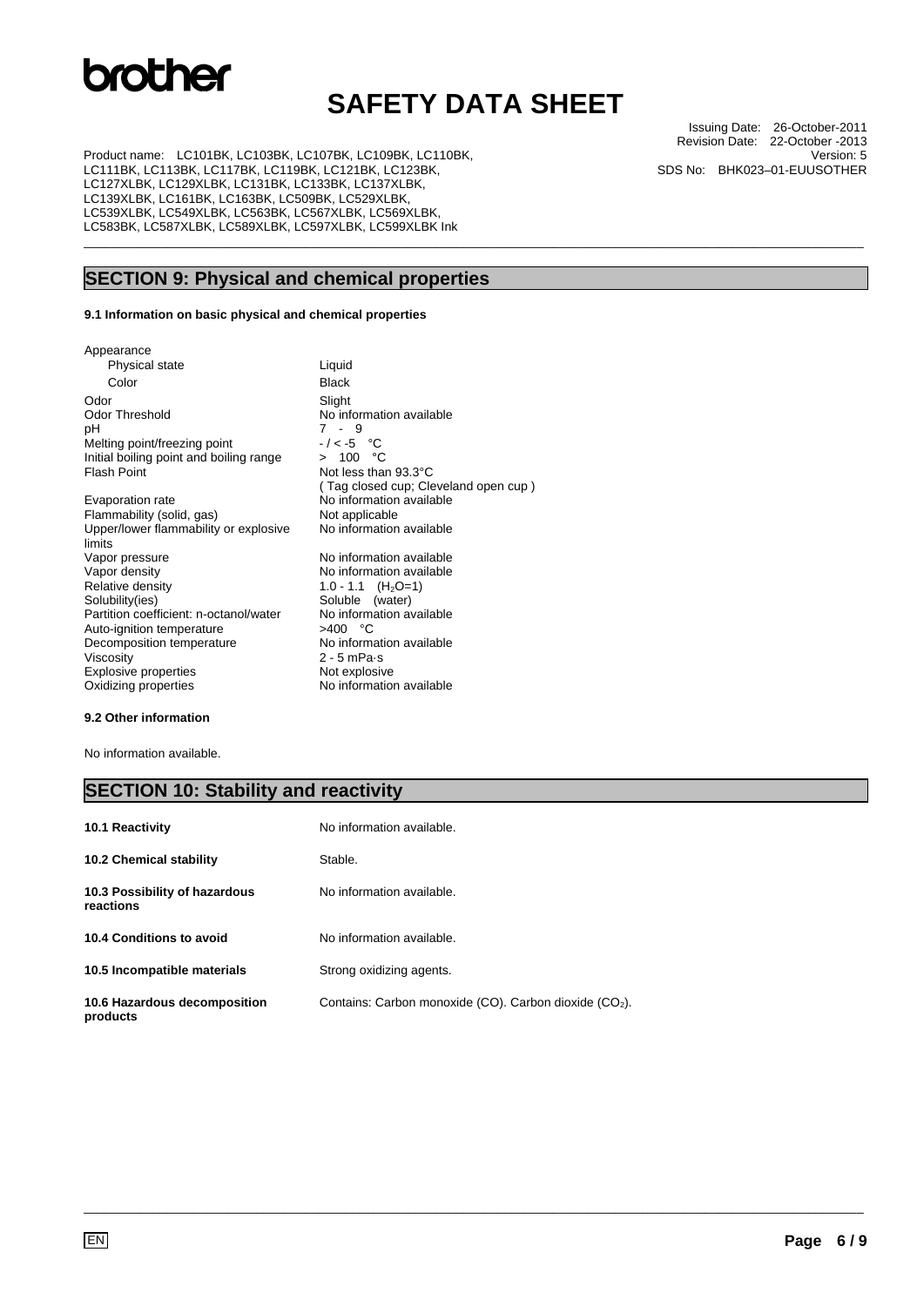## **SAFETY DATA SHEET**

\_\_\_\_\_\_\_\_\_\_\_\_\_\_\_\_\_\_\_\_\_\_\_\_\_\_\_\_\_\_\_\_\_\_\_\_\_\_\_\_\_\_\_\_\_\_\_\_\_\_\_\_\_\_\_\_\_\_\_\_\_\_\_\_\_\_\_\_\_\_\_\_\_\_\_\_\_\_\_\_\_\_\_\_\_\_\_\_\_\_\_\_\_\_\_\_\_\_\_\_\_\_\_\_\_\_\_\_\_\_\_\_\_

Product name: LC101BK, LC103BK, LC107BK, LC109BK, LC110BK, LC111BK, LC113BK, LC117BK, LC119BK, LC121BK, LC123BK, LC127XLBK, LC129XLBK, LC131BK, LC133BK, LC137XLBK, LC139XLBK, LC161BK, LC163BK, LC509BK, LC529XLBK, LC539XLBK, LC549XLBK, LC563BK, LC567XLBK, LC569XLBK, LC583BK, LC587XLBK, LC589XLBK, LC597XLBK, LC599XLBK Ink

### **SECTION 9: Physical and chemical properties**

 $7 - 9$ <br>-/<-5 °C

Not less than 93.3°C

No information available

Soluble (water)<br>No information available

( Tag closed cup; Cleveland open cup )

### **9.1 Information on basic physical and chemical properties**

Appearance Physical state Liquid Color Black Odor Slight<br>
Odor Threshold Mo inf Odor Threshold No information available<br>pH 7 - 9 Melting point/freezing point  $-/-5$  °C<br>Initial boiling point and boiling range  $> 100$  °C Initial boiling point and boiling range<br>Flash Point

Evaporation rate  $\overrightarrow{N}$  No information available<br>
Flammability (solid. gas) Not applicable  $F$ lammability (solid, gas) Upper/lower flammability or explosive limits<br>Vapor pressure Vapor pressure values and variable Vapor pressure<br>Vapor density values No information available Vapor density  $\overline{N}$  No information available<br>
Relative density  $\overline{N}$  1.0 - 1.1 (H<sub>2</sub>O=1) Relative density  $1.0 - 1.1$  (H<sub>2</sub>O=1)<br>Solubility(ies) Soluble (water) Partition coefficient: n-octanol/water No information coefficient: n-octanol/water No information  $>400$  °C Auto-ignition temperature Decomposition temperature No information available Viscosity<br>
Explosive properties<br>
Explosive properties<br>
Not explosive Explosive properties Oxidizing properties No information available

### **9.2 Other information**

No information available.

### **SECTION 10: Stability and reactivity**

| <b>10.1 Reactivity</b>                     | No information available.                                          |
|--------------------------------------------|--------------------------------------------------------------------|
| <b>10.2 Chemical stability</b>             | Stable.                                                            |
| 10.3 Possibility of hazardous<br>reactions | No information available.                                          |
| 10.4 Conditions to avoid                   | No information available.                                          |
| 10.5 Incompatible materials                | Strong oxidizing agents.                                           |
| 10.6 Hazardous decomposition<br>products   | Contains: Carbon monoxide (CO). Carbon dioxide (CO <sub>2</sub> ). |

\_\_\_\_\_\_\_\_\_\_\_\_\_\_\_\_\_\_\_\_\_\_\_\_\_\_\_\_\_\_\_\_\_\_\_\_\_\_\_\_\_\_\_\_\_\_\_\_\_\_\_\_\_\_\_\_\_\_\_\_\_\_\_\_\_\_\_\_\_\_\_\_\_\_\_\_\_\_\_\_\_\_\_\_\_\_\_\_\_\_\_\_\_\_\_\_\_\_\_\_\_\_\_\_\_\_\_\_\_\_\_\_\_

Issuing Date: 26-October-2011 Revision Date: 22-October -2013 Version: 5 SDS No: BHK023–01-EUUSOTHER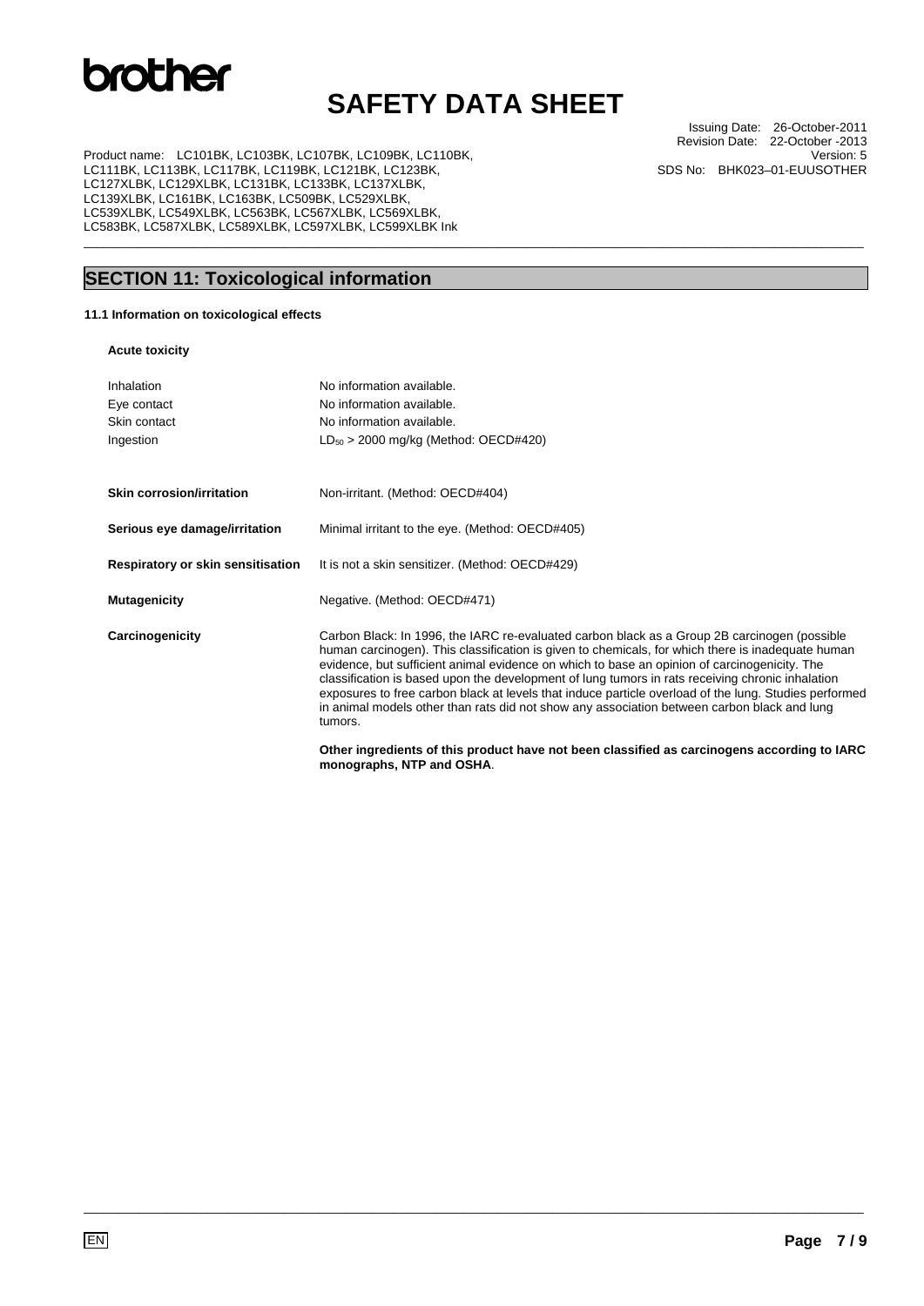## **SAFETY DATA SHEET**

\_\_\_\_\_\_\_\_\_\_\_\_\_\_\_\_\_\_\_\_\_\_\_\_\_\_\_\_\_\_\_\_\_\_\_\_\_\_\_\_\_\_\_\_\_\_\_\_\_\_\_\_\_\_\_\_\_\_\_\_\_\_\_\_\_\_\_\_\_\_\_\_\_\_\_\_\_\_\_\_\_\_\_\_\_\_\_\_\_\_\_\_\_\_\_\_\_\_\_\_\_\_\_\_\_\_\_\_\_\_\_\_\_

Product name: LC101BK, LC103BK, LC107BK, LC109BK, LC110BK, LC111BK, LC113BK, LC117BK, LC119BK, LC121BK, LC123BK, LC127XLBK, LC129XLBK, LC131BK, LC133BK, LC137XLBK, LC139XLBK, LC161BK, LC163BK, LC509BK, LC529XLBK, LC539XLBK, LC549XLBK, LC563BK, LC567XLBK, LC569XLBK, LC583BK, LC587XLBK, LC589XLBK, LC597XLBK, LC599XLBK Ink

**SECTION 11: Toxicological information** 

### **11.1 Information on toxicological effects**

### **Acute toxicity**

| <b>Acute toxicity</b>             |                                                                                                                                                                                                                                                                                                                                                                                                                                                                                                                                                                                                                          |
|-----------------------------------|--------------------------------------------------------------------------------------------------------------------------------------------------------------------------------------------------------------------------------------------------------------------------------------------------------------------------------------------------------------------------------------------------------------------------------------------------------------------------------------------------------------------------------------------------------------------------------------------------------------------------|
| Inhalation                        | No information available.                                                                                                                                                                                                                                                                                                                                                                                                                                                                                                                                                                                                |
| Eye contact                       | No information available.                                                                                                                                                                                                                                                                                                                                                                                                                                                                                                                                                                                                |
| Skin contact                      | No information available.                                                                                                                                                                                                                                                                                                                                                                                                                                                                                                                                                                                                |
| Ingestion                         | $LD_{50}$ > 2000 mg/kg (Method: OECD#420)                                                                                                                                                                                                                                                                                                                                                                                                                                                                                                                                                                                |
| Skin corrosion/irritation         | Non-irritant. (Method: OECD#404)                                                                                                                                                                                                                                                                                                                                                                                                                                                                                                                                                                                         |
| Serious eye damage/irritation     | Minimal irritant to the eye. (Method: OECD#405)                                                                                                                                                                                                                                                                                                                                                                                                                                                                                                                                                                          |
| Respiratory or skin sensitisation | It is not a skin sensitizer. (Method: OECD#429)                                                                                                                                                                                                                                                                                                                                                                                                                                                                                                                                                                          |
| <b>Mutagenicity</b>               | Negative. (Method: OECD#471)                                                                                                                                                                                                                                                                                                                                                                                                                                                                                                                                                                                             |
| Carcinogenicity                   | Carbon Black: In 1996, the IARC re-evaluated carbon black as a Group 2B carcinogen (possible<br>human carcinogen). This classification is given to chemicals, for which there is inadequate human<br>evidence, but sufficient animal evidence on which to base an opinion of carcinogenicity. The<br>classification is based upon the development of lung tumors in rats receiving chronic inhalation<br>exposures to free carbon black at levels that induce particle overload of the lung. Studies performed<br>in animal models other than rats did not show any association between carbon black and lung<br>tumors. |
|                                   |                                                                                                                                                                                                                                                                                                                                                                                                                                                                                                                                                                                                                          |

\_\_\_\_\_\_\_\_\_\_\_\_\_\_\_\_\_\_\_\_\_\_\_\_\_\_\_\_\_\_\_\_\_\_\_\_\_\_\_\_\_\_\_\_\_\_\_\_\_\_\_\_\_\_\_\_\_\_\_\_\_\_\_\_\_\_\_\_\_\_\_\_\_\_\_\_\_\_\_\_\_\_\_\_\_\_\_\_\_\_\_\_\_\_\_\_\_\_\_\_\_\_\_\_\_\_\_\_\_\_\_\_\_

**Other ingredients of this product have not been classified as carcinogens according to IARC monographs, NTP and OSHA**.

Issuing Date: 26-October-2011 Revision Date: 22-October -2013 Version: 5 SDS No: BHK023–01-EUUSOTHER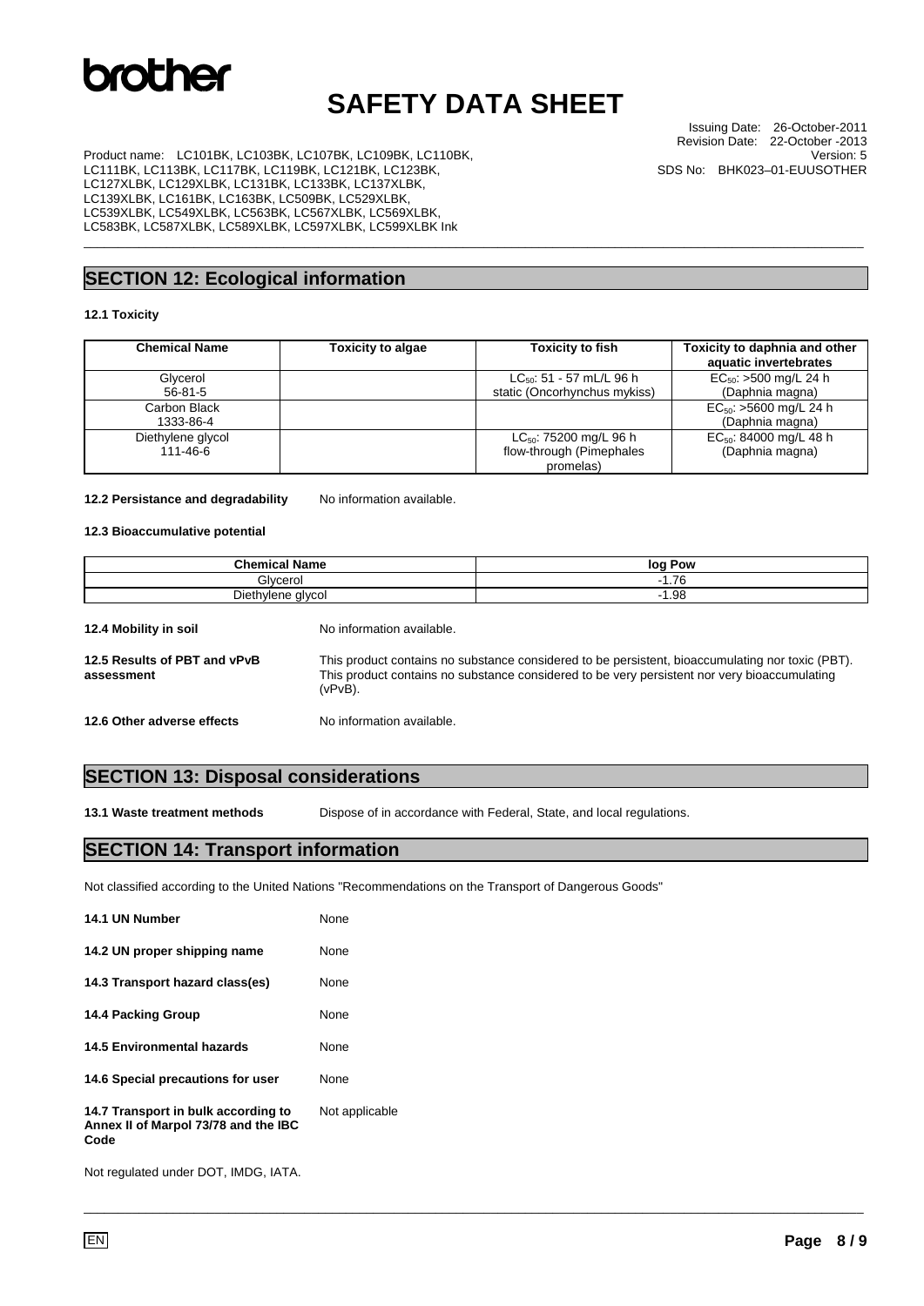## **SAFETY DATA SHEET**

\_\_\_\_\_\_\_\_\_\_\_\_\_\_\_\_\_\_\_\_\_\_\_\_\_\_\_\_\_\_\_\_\_\_\_\_\_\_\_\_\_\_\_\_\_\_\_\_\_\_\_\_\_\_\_\_\_\_\_\_\_\_\_\_\_\_\_\_\_\_\_\_\_\_\_\_\_\_\_\_\_\_\_\_\_\_\_\_\_\_\_\_\_\_\_\_\_\_\_\_\_\_\_\_\_\_\_\_\_\_\_\_\_

Issuing Date: 26-October-2011 Revision Date: 22-October -2013 Version: 5 SDS No: BHK023–01-EUUSOTHER

Product name: LC101BK, LC103BK, LC107BK, LC109BK, LC110BK, LC111BK, LC113BK, LC117BK, LC119BK, LC121BK, LC123BK, LC127XLBK, LC129XLBK, LC131BK, LC133BK, LC137XLBK, LC139XLBK, LC161BK, LC163BK, LC509BK, LC529XLBK, LC539XLBK, LC549XLBK, LC563BK, LC567XLBK, LC569XLBK, LC583BK, LC587XLBK, LC589XLBK, LC597XLBK, LC599XLBK Ink

### **SECTION 12: Ecological information**

#### **12.1 Toxicity**

| <b>Chemical Name</b> | <b>Toxicity to algae</b> | <b>Toxicity to fish</b>       | Toxicity to daphnia and other<br>aquatic invertebrates |
|----------------------|--------------------------|-------------------------------|--------------------------------------------------------|
| Glycerol             |                          | $LC_{50}$ : 51 - 57 mL/L 96 h | $EC_{50}$ : >500 mg/L 24 h                             |
| $56 - 81 - 5$        |                          | static (Oncorhynchus mykiss)  | (Daphnia magna)                                        |
| Carbon Black         |                          |                               | $EC_{50}$ : >5600 mg/L 24 h                            |
| 1333-86-4            |                          |                               | (Daphnia magna)                                        |
| Diethylene glycol    |                          | $LC_{50}$ : 75200 mg/L 96 h   | $EC_{50}$ : 84000 mg/L 48 h                            |
| 111-46-6             |                          | flow-through (Pimephales      | (Daphnia magna)                                        |
|                      |                          | promelas)                     |                                                        |

#### 12.2 Persistance and degradability No information available.

### **12.3 Bioaccumulative potential**

| <b>Chemical Name</b>                                                             | log Pow         |
|----------------------------------------------------------------------------------|-----------------|
| Glvcerol                                                                         | $-1.76$<br>$-1$ |
| Diethylene glycol                                                                | $-1.98$         |
| $40.4 M_{\odot}$ killage for $4.4 M_{\odot}$<br>Ala da famosa di su calica della |                 |

| 12.4 Mobility in soil                      | No information available.                                                                                                                                                                                      |
|--------------------------------------------|----------------------------------------------------------------------------------------------------------------------------------------------------------------------------------------------------------------|
| 12.5 Results of PBT and vPvB<br>assessment | This product contains no substance considered to be persistent, bioaccumulating nor toxic (PBT).<br>This product contains no substance considered to be very persistent nor very bioaccumulating<br>$(vPvB)$ . |
| 12.6 Other adverse effects                 | No information available.                                                                                                                                                                                      |

### **SECTION 13: Disposal considerations**

**13.1 Waste treatment methods** Dispose of in accordance with Federal, State, and local regulations.

\_\_\_\_\_\_\_\_\_\_\_\_\_\_\_\_\_\_\_\_\_\_\_\_\_\_\_\_\_\_\_\_\_\_\_\_\_\_\_\_\_\_\_\_\_\_\_\_\_\_\_\_\_\_\_\_\_\_\_\_\_\_\_\_\_\_\_\_\_\_\_\_\_\_\_\_\_\_\_\_\_\_\_\_\_\_\_\_\_\_\_\_\_\_\_\_\_\_\_\_\_\_\_\_\_\_\_\_\_\_\_\_\_

### **SECTION 14: Transport information**

Not classified according to the United Nations "Recommendations on the Transport of Dangerous Goods"

| 14.1 UN Number                                                                      | None           |
|-------------------------------------------------------------------------------------|----------------|
| 14.2 UN proper shipping name                                                        | None           |
| 14.3 Transport hazard class(es)                                                     | None           |
| <b>14.4 Packing Group</b>                                                           | None           |
| <b>14.5 Environmental hazards</b>                                                   | None           |
| 14.6 Special precautions for user                                                   | None           |
| 14.7 Transport in bulk according to<br>Annex II of Marpol 73/78 and the IBC<br>Code | Not applicable |

Not regulated under DOT, IMDG, IATA.